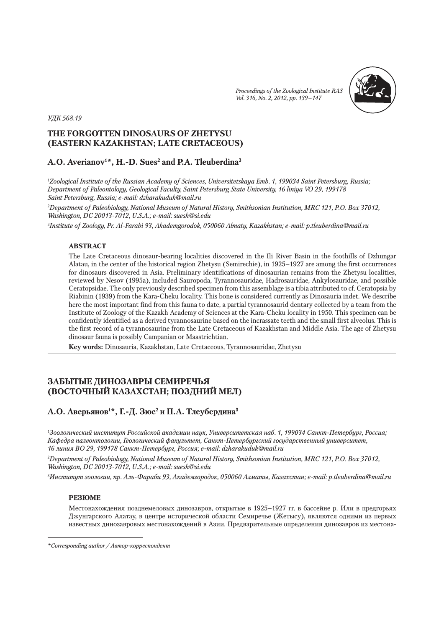*Proceedings of the Zoological Institute RAS Vol. 316, No. 2, 2012, рр. 139–147*



*УДК 568.19*

# **THE FORGOTTEN DINOSAURS OF ZHETYSU (EASTERN KAZAKHSTAN; LATE CRETACEOUS)**

# **A.O. Averianov1 \*, H.-D. Sues2 and P.A. Tleuberdina3**

1 *Zoological Institute of the Russian Academy of Sciences, Universitetskaya Emb. 1, 199034 Saint Petersburg, Russia; Department of Paleontology, Geological Faculty, Saint Petersburg State University, 16 liniya VO 29, 199178 Saint Petersburg, Russia; e-mail: dzharakuduk@mail.ru*

2 *Department of Paleobiology, National Museum of Natural History, Smithsonian Institution, MRC 121, P.O. Box 37012, Washington, DC 20013-7012, U.S.A.; e-mail: suesh@si.edu*

3 *Institute of Zoology, Pr. Al-Farabi 93, Akademgorodok, 050060 Almaty, Kazakhstan; e-mail: p.tleuberdina@mail.ru*

## **ABSTRACT**

The Late Cretaceous dinosaur-bearing localities discovered in the Ili River Basin in the foothills of Dzhungar Alatau, in the center of the historical region Zhetysu (Semirechie), in 1925–1927 are among the first occurrences for dinosaurs discovered in Asia. Preliminary identifications of dinosaurian remains from the Zhetysu localities, reviewed by Nesov (1995a), included Sauropoda, Tyrannosauridae, Hadrosauridae, Ankylosauridae, and possible Ceratopsidae. The only previously described specimen from this assemblage is a tibia attributed to cf. Ceratopsia by Riabinin (1939) from the Kara-Cheku locality. This bone is considered currently as Dinosauria indet. We describe here the most important find from this fauna to date, a partial tyrannosaurid dentary collected by a team from the Institute of Zoology of the Kazakh Academy of Sciences at the Kara-Cheku locality in 1950. This specimen can be confidently identified as a derived tyrannosaurine based on the incrassate teeth and the small first alveolus. This is the first record of a tyrannosaurine from the Late Cretaceous of Kazakhstan and Middle Asia. The age of Zhetysu dinosaur fauna is possibly Campanian or Maastrichtian.

**Key words:** Dinosauria, Kazakhstan, Late Cretaceous, Tyrannosauridae, Zhetysu

# **ЗАБЫТЫЕ ДИНОЗАВРЫ СЕМИРЕЧЬЯ (ВОСТОЧНЫЙ КАЗАХСТАН; ПОЗДНИЙ МЕЛ)**

# **A.O. Аверьянов1 \*, Г.-Д. Зюс2 и П.А. Тлеубердина3**

1 *Зоологический институт Российской академии наук, Университетская наб. 1, 199034 Санкт-Петербург, Россия; Кафедра палеонтологии, Геологический факультет, Санкт-Петербургский государственный университет, 16 линия ВО 29, 199178 Санкт-Петербург, Россия; e-mail: dzharakuduk@mail.ru*

2 *Department of Paleobiology, National Museum of Natural History, Smithsonian Institution, MRC 121, P.O. Box 37012, Washington, DC 20013-7012, U.S.A.; e-mail: suesh@si.edu*

3 *Институт зоологии, пр. Аль-Фараби 93, Академгородок, 050060 Алматы, Казахстан; e-mail: p.tleuberdina@mail.ru*

### **РЕЗЮМЕ**

Местонахождения позднемеловых динозавров, открытые в 1925–1927 гг. в бассейне р. Или в предгорьях Джунгарского Алатау, в центре исторической области Семиречье (Жетысу), являются одними из первых известных динозавровых местонахождений в Азии. Предварительные определения динозавров из местона-

*<sup>\*</sup>Corresponding author / Автор-корреспондент*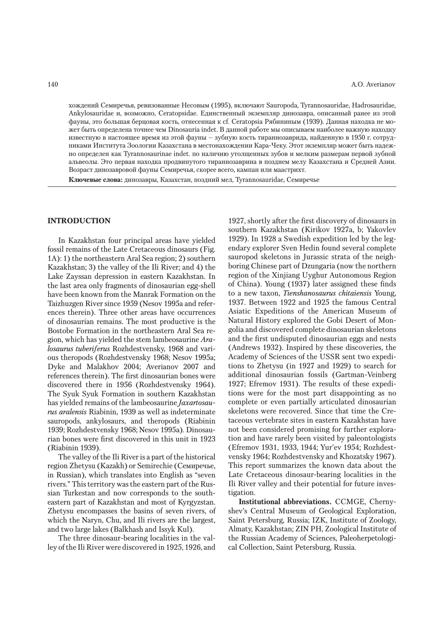хождений Семиречья, ревизованные Несовым (1995), включают Sauropoda, Tyrannosauridae, Hadrosauridae, Ankylosauridae и, возможно, Ceratopsidae. Единственный экземпляр динозавра, описанный ранее из этой фауны, это большая берцовая кость, отнесенная к cf. Ceratopsia Рябининым (1939). Данная находка не может быть определена точнее чем Dinosauria indet. В данной работе мы описываем наиболее важную находку известную в настоящее время из этой фауны – зубную кость тираннозаврида, найденную в 1950 г. сотрудниками Института Зоологии Казахстана в местонахождении Кара-Чеку. Этот экземпляр может быть надежно определен как Tyrannosaurinae indet. по наличию утолщенных зубов и мелким размерам первой зубной альвеолы. Это первая находка продвинутого тираннозаврина в позднем мелу Казахстана и Средней Азии. Возраст динозавровой фауны Семиречья, скорее всего, кампан или маастрихт.

**Ключевые слова:** динозавры, Казахстан, поздний мел, Tyrannosauridae, Семиречье

## **INTRODUCTION**

In Kazakhstan four principal areas have yielded fossil remains of the Late Cretaceous dinosaurs (Fig. 1A): 1) the northeastern Aral Sea region; 2) southern Kazakhstan; 3) the valley of the Ili River; and 4) the Lake Zayssan depression in eastern Kazakhstan. In the last area only fragments of dinosaurian egg-shell have been known from the Manrak Formation on the Taizhuzgen River since 1959 (Nesov 1995a and references therein). Three other areas have occurrences of dinosaurian remains. The most productive is the Bostobe Formation in the northeastern Aral Sea region, which has yielded the stem lambeosaurine *Aralosaurus tuberiferus* Rozhdestvensky, 1968 and various theropods (Rozhdestvensky 1968; Nesov 1995a; Dyke and Malakhov 2004; Averianov 2007 and references therein). The first dinosaurian bones were discovered there in 1956 (Rozhdestvensky 1964). The Syuk Syuk Formation in southern Kazakhstan has yielded remains of the lambeosaurine *Jaxartosaurus aralensis* Riabinin, 1939 as well as indeterminate sauropods, ankylosaurs, and theropods (Riabinin 1939; Rozhdestvensky 1968; Nesov 1995a). Dinosaurian bones were first discovered in this unit in 1923 (Riabinin 1939).

The valley of the Ili River is a part of the historical region Zhetysu (Kazakh) or Semirechie (Семиречье, in Russian), which translates into English as "seven rivers." This territory was the eastern part of the Russian Turkestan and now corresponds to the southeastern part of Kazakhstan and most of Kyrgyzstan. Zhetysu encompasses the basins of seven rivers, of which the Naryn, Chu, and Ili rivers are the largest, and two large lakes (Balkhash and Issyk Kul).

The three dinosaur-bearing localities in the valley of the Ili River were discovered in 1925, 1926, and

1927, shortly after the first discovery of dinosaurs in southern Kazakhstan (Kirikov 1927a, b; Yakovlev 1929). In 1928 a Swedish expedition led by the legendary explorer Sven Hedin found several complete sauropod skeletons in Jurassic strata of the neighboring Chinese part of Dzungaria (now the northern region of the Xinjiang Uyghur Autonomous Region of China). Young (1937) later assigned these finds to a new taxon, *Tienshanosaurus chitaiensis* Young, 1937. Between 1922 and 1925 the famous Central Asiatic Expeditions of the American Museum of Natural History explored the Gobi Desert of Mongolia and discovered complete dinosaurian skeletons and the first undisputed dinosaurian eggs and nests (Andrews 1932). Inspired by these discoveries, the Academy of Sciences of the USSR sent two expeditions to Zhetysu (in 1927 and 1929) to search for additional dinosaurian fossils (Gartman-Veinberg 1927; Efremov 1931). The results of these expeditions were for the most part disappointing as no complete or even partially articulated dinosaurian skeletons were recovered. Since that time the Cretaceous vertebrate sites in eastern Kazakhstan have not been considered promising for further exploration and have rarely been visited by paleontologists (Efremov 1931, 1933, 1944; Yur'ev 1954; Rozhdestvensky 1964; Rozhdestvensky and Khozatsky 1967). This report summarizes the known data about the Late Cretaceous dinosaur-bearing localities in the Ili River valley and their potential for future investigation.

**Institutional abbreviations.** CCMGE, Chernyshev's Central Museum of Geological Exploration, Saint Petersburg, Russia; IZK, Institute of Zoology, Almaty, Kazakhstan; ZIN PH, Zoological Institute of the Russian Academy of Sciences, Paleoherpetological Collection, Saint Petersburg, Russia.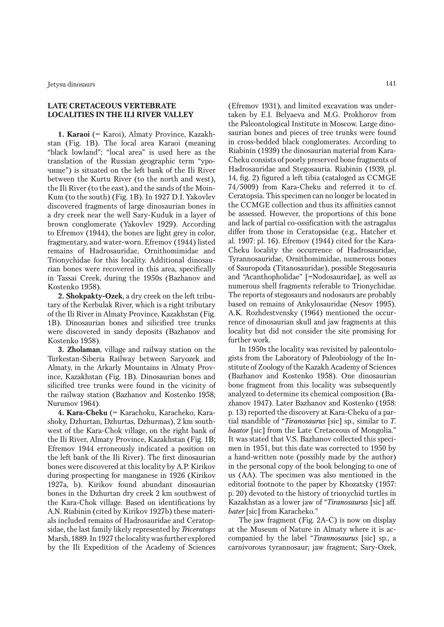# **LATE CRETACEOUS VERTEBRATE LOCALITIES IN THE ILI RIVER VALLEY**

**1. Karaoi** (= Karoi), Almaty Province, Kazakhstan (Fig. 1B). The local area Karaoi (meaning "black lowland"; "local area" is used here as the translation of the Russian geographic term "урочище") is situated on the left bank of the Ili River between the Kurtu River (to the north and west), the Ili River (to the east), and the sands of the Moin-Kum (to the south) (Fig. 1B). In 1927 D.I. Yakovlev discovered fragments of large dinosaurian bones in a dry creek near the well Sary-Kuduk in a layer of brown conglomerate (Yakovlev 1929). According to Efremov (1944), the bones are light grey in color, fragmentary, and water-worn. Efremov (1944) listed remains of Hadrosauridae, Ornithomimidae and Trionychidae for this locality. Additional dinosaurian bones were recovered in this area, specifically in Tassai Creek, during the 1950s (Bazhanov and Kostenko 1958).

**2. Shokpakty-Ozek**, a dry creek on the left tributary of the Kerbulak River, which is a right tributary of the Ili River in Almaty Province, Kazakhstan (Fig. 1B). Dinosaurian bones and silicified tree trunks were discovered in sandy deposits (Bazhanov and Kostenko 1958).

**3. Zholaman**, village and railway station on the Turkestan-Siberia Railway between Saryozek and Almaty, in the Arkarly Mountains in Almaty Province, Kazakhstan (Fig. 1B). Dinosaurian bones and silicified tree trunks were found in the vicinity of the railway station (Bazhanov and Kostenko 1958; Nurumov 1964).

**4. Kara-Cheku** (= Karachoku, Karacheko, Karashoky, Dzhurtan, Dzhurtas, Dzhurmas), 2 km southwest of the Kara-Chok village, on the right bank of the Ili River, Almaty Province, Kazakhstan (Fig. 1B; Efremov 1944 erroneously indicated a position on the left bank of the Ili River). The first dinosaurian bones were discovered at this locality by A.P. Kirikov during prospecting for manganese in 1926 (Kirikov 1927a, b). Kirikov found abundant dinosaurian bones in the Dzhurtan dry creek 2 km southwest of the Kara-Chok village. Based on identifications by A.N. Riabinin (cited by Kirikov 1927b) these materials included remains of Hadrosauridae and Ceratopsidae, the last family likely represented by *Triceratops* Marsh, 1889. In 1927 the locality was further explored by the Ili Expedition of the Academy of Sciences

(Efremov 1931), and limited excavation was undertaken by E.I. Belyaeva and M.G. Prokhorov from the Paleontological Institute in Moscow. Large dinosaurian bones and pieces of tree trunks were found in cross-bedded black conglomerates. According to Riabinin (1939) the dinosaurian material from Kara-Cheku consists of poorly preserved bone fragments of Hadrosauridae and Stegosauria. Riabinin (1939, pl. 14, fig. 2) figured a left tibia (cataloged as CCMGE 74/5009) from Kara-Cheku and referred it to cf. Ceratopsia. This specimen can no longer be located in the CCMGE collection and thus its affinities cannot be assessed. However, the proportions of this bone and lack of partial co-ossification with the astragalus differ from those in Ceratopsidae (e.g., Hatcher et al. 1907: pl. 16). Efremov (1944) cited for the Kara-Cheku locality the occurrence of Hadrosauridae, Tyrannosauridae, Ornithomimidae, numerous bones of Sauropoda (Titanosauridae), possible Stegosauria and "Acanthopholidae" [=Nodosauridae], as well as numerous shell fragments referable to Trionychidae. The reports of stegosaurs and nodosaurs are probably based on remains of Ankylosauridae (Nesov 1995). A.K. Rozhdestvensky (1964) mentioned the occurrence of dinosaurian skull and jaw fragments at this locality but did not consider the site promising for further work.

In 1950s the locality was revisited by paleontologists from the Laboratory of Paleobiology of the Institute of Zoology of the Kazakh Academy of Sciences (Bazhanov and Kostenko 1958). One dinosaurian bone fragment from this locality was subsequently analyzed to determine its chemical composition (Bazhanov 1947). Later Bazhanov and Kostenko (1958: p. 13) reported the discovery at Kara-Cheku of a partial mandible of "*Tiranosaurus* [sic] sp., similar to *T. baator* [sic] from the Late Cretaceous of Mongolia." It was stated that V.S. Bazhanov collected this specimen in 1951, but this date was corrected to 1950 by a hand-written note (possibly made by the author) in the personal copy of the book belonging to one of us (AA). The specimen was also mentioned in the editorial footnote to the paper by Khozatsky (1957: p. 20) devoted to the history of trionychid turtles in Kazakhstan as a lower jaw of "*Tiranosaurus* [sic] aff. *bater* [sic] from Karacheko."

The jaw fragment (Fig. 2A-C) is now on display at the Museum of Nature in Almaty where it is accompanied by the label "*Tirannosaurus* [sic] sp., a carnivorous tyrannosaur; jaw fragment; Sary-Ozek,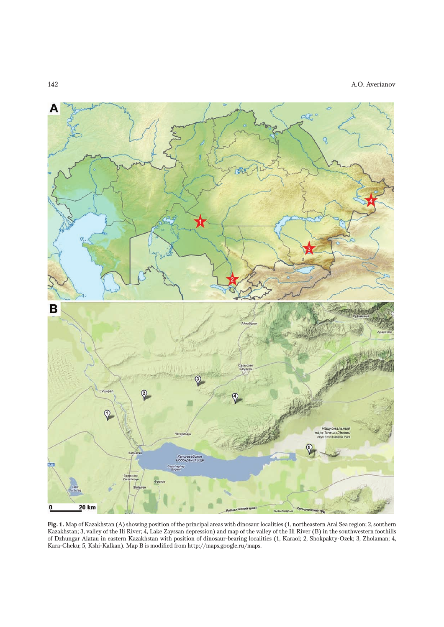### 142 A.O. Averianov



**Fig. 1.** Map of Kazakhstan (A) showing position of the principal areas with dinosaur localities (1, northeastern Aral Sea region; 2, southern Kazakhstan; 3, valley of the Ili River; 4, Lake Zayssan depression) and map of the valley of the Ili River (B) in the southwestern foothills of Dzhungar Alatau in eastern Kazakhstan with position of dinosaur-bearing localities (1, Karaoi; 2, Shokpakty-Ozek; 3, Zholaman; 4, Kara-Cheku; 5, Kshi-Kalkan). Map B is modified from http://maps.google.ru/maps.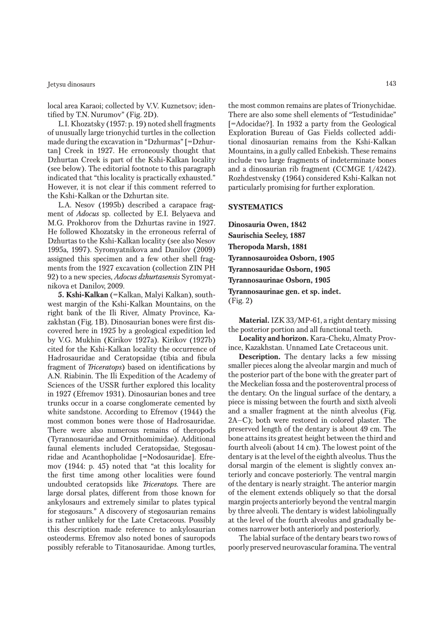#### Jetysu dinosaurs 143

local area Karaoi; collected by V.V. Kuznetsov; identified by T.N. Nurumov" (Fig. 2D).

L.I. Khozatsky (1957: p. 19) noted shell fragments of unusually large trionychid turtles in the collection made during the excavation in "Dzhurmas" [=Dzhurtan] Creek in 1927. He erroneously thought that Dzhurtan Creek is part of the Kshi-Kalkan locality (see below). The editorial footnote to this paragraph indicated that "this locality is practically exhausted." However, it is not clear if this comment referred to the Kshi-Kalkan or the Dzhurtan site.

L.A. Nesov (1995b) described a carapace fragment of *Adocus* sp. collected by E.I. Belyaeva and M.G. Prokhorov from the Dzhurtas ravine in 1927. He followed Khozatsky in the erroneous referral of Dzhurtas to the Kshi-Kalkan locality (see also Nesov 1995a, 1997). Syromyatnikova and Danilov (2009) assigned this specimen and a few other shell fragments from the 1927 excavation (collection ZIN PH 92) to a new species, *Adocus dzhurtasensis* Syromyatnikova et Danilov, 2009.

**5. Kshi-Kalkan** (=Kalkan, Malyi Kalkan), southwest margin of the Kshi-Kalkan Mountains, on the right bank of the Ili River, Almaty Province, Kazakhstan (Fig. 1B). Dinosaurian bones were first discovered here in 1925 by a geological expedition led by V.G. Mukhin (Kirikov 1927a). Kirikov (1927b) cited for the Kshi-Kalkan locality the occurrence of Hadrosauridae and Ceratopsidae (tibia and fibula fragment of *Triceratops*) based on identifications by A.N. Riabinin. The Ili Expedition of the Academy of Sciences of the USSR further explored this locality in 1927 (Efremov 1931). Dinosaurian bones and tree trunks occur in a coarse conglomerate cemented by white sandstone. According to Efremov (1944) the most common bones were those of Hadrosauridae. There were also numerous remains of theropods (Tyrannosauridae and Ornithomimidae). Additional faunal elements included Ceratopsidae, Stegosauridae and Acanthopholidae [=Nodosauridae]. Efremov (1944: p. 45) noted that "at this locality for the first time among other localities were found undoubted ceratopsids like *Triceratops*. There are large dorsal plates, different from those known for ankylosaurs and extremely similar to plates typical for stegosaurs." A discovery of stegosaurian remains is rather unlikely for the Late Cretaceous. Possibly this description made reference to ankylosaurian osteoderms. Efremov also noted bones of sauropods possibly referable to Titanosauridae. Among turtles,

the most common remains are plates of Trionychidae. There are also some shell elements of "Testudinidae" [=Adocidae?]. In 1932 a party from the Geological Exploration Bureau of Gas Fields collected additional dinosaurian remains from the Kshi-Kalkan Mountains, in a gully called Enbekish. These remains include two large fragments of indeterminate bones and a dinosaurian rib fragment (CCMGE 1/4242). Rozhdestvensky (1964) considered Kshi-Kalkan not particularly promising for further exploration.

## **SYSTEMATICS**

**Dinosauria Owen, 1842 Saurischia Seeley, 1887 Theropoda Marsh, 1881 Tyrannosauroidea Osborn, 1905 Tyrannosauridae Osborn, 1905 Tyrannosaurinae Osborn, 1905 Tyrannosaurinae gen. et sp. indet.** (Fig. 2)

**Material.** IZK 33/MP-61, a right dentary missing the posterior portion and all functional teeth.

**Locality and horizon.** Kara-Cheku, Almaty Province, Kazakhstan. Unnamed Late Cretaceous unit.

**Description.** The dentary lacks a few missing smaller pieces along the alveolar margin and much of the posterior part of the bone with the greater part of the Meckelian fossa and the posteroventral process of the dentary. On the lingual surface of the dentary, a piece is missing between the fourth and sixth alveoli and a smaller fragment at the ninth alveolus (Fig. 2A–C); both were restored in colored plaster. The preserved length of the dentary is about 49 cm. The bone attains its greatest height between the third and fourth alveoli (about 14 cm). The lowest point of the dentary is at the level of the eighth alveolus. Thus the dorsal margin of the element is slightly convex anteriorly and concave posteriorly. The ventral margin of the dentary is nearly straight. The anterior margin of the element extends obliquely so that the dorsal margin projects anteriorly beyond the ventral margin by three alveoli. The dentary is widest labiolingually at the level of the fourth alveolus and gradually becomes narrower both anteriorly and posteriorly.

The labial surface of the dentary bears two rows of poorly preserved neurovascular foramina. The ventral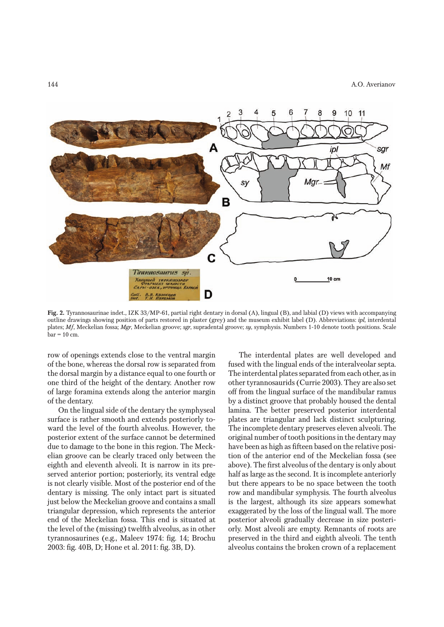

**Fig. 2.** Tyrannosaurinae indet., IZK 33/MP-61, partial right dentary in dorsal (A), lingual (B), and labial (D) views with accompanying outline drawings showing position of parts restored in plaster (grey) and the museum exhibit label (D). Abbreviations: *ipl*, interdental plates; *Mf*, Meckelian fossa; *Mgr*, Meckelian groove; *sgr*, supradental groove; *sy*, symphysis. Numbers 1-10 denote tooth positions. Scale  $bar = 10$  cm.

row of openings extends close to the ventral margin of the bone, whereas the dorsal row is separated from the dorsal margin by a distance equal to one fourth or one third of the height of the dentary. Another row of large foramina extends along the anterior margin of the dentary.

On the lingual side of the dentary the symphyseal surface is rather smooth and extends posteriorly toward the level of the fourth alveolus. However, the posterior extent of the surface cannot be determined due to damage to the bone in this region. The Meckelian groove can be clearly traced only between the eighth and eleventh alveoli. It is narrow in its preserved anterior portion; posteriorly, its ventral edge is not clearly visible. Most of the posterior end of the dentary is missing. The only intact part is situated just below the Meckelian groove and contains a small triangular depression, which represents the anterior end of the Meckelian fossa. This end is situated at the level of the (missing) twelfth alveolus, as in other tyrannosaurines (e.g., Maleev 1974: fig. 14; Brochu 2003: fig. 40B, D; Hone et al. 2011: fig. 3B, D).

The interdental plates are well developed and fused with the lingual ends of the interalveolar septa. The interdental plates separated from each other, as in other tyrannosaurids (Currie 2003). They are also set off from the lingual surface of the mandibular ramus by a distinct groove that probably housed the dental lamina. The better preserved posterior interdental plates are triangular and lack distinct sculpturing. The incomplete dentary preserves eleven alveoli. The original number of tooth positions in the dentary may have been as high as fifteen based on the relative position of the anterior end of the Meckelian fossa (see above). The first alveolus of the dentary is only about half as large as the second. It is incomplete anteriorly but there appears to be no space between the tooth row and mandibular symphysis. The fourth alveolus is the largest, although its size appears somewhat exaggerated by the loss of the lingual wall. The more posterior alveoli gradually decrease in size posteriorly. Most alveoli are empty. Remnants of roots are preserved in the third and eighth alveoli. The tenth alveolus contains the broken crown of a replacement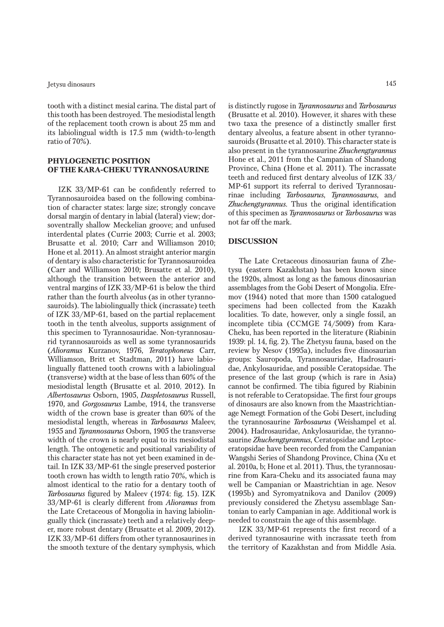tooth with a distinct mesial carina. The distal part of this tooth has been destroyed. The mesiodistal length of the replacement tooth crown is about 25 mm and its labiolingual width is 17.5 mm (width-to-length ratio of 70%).

### **PHYLOGENETIC POSITION OF THE KARA-CHEKU TYRANNOSAURINE**

IZK 33/MP-61 can be confidently referred to Tyrannosauroidea based on the following combination of character states: large size; strongly concave dorsal margin of dentary in labial (lateral) view; dorsoventrally shallow Meckelian groove; and unfused interdental plates (Currie 2003; Currie et al. 2003; Brusatte et al. 2010; Carr and Williamson 2010; Hone et al. 2011). An almost straight anterior margin of dentary is also characteristic for Tyrannosauroidea (Carr and Williamson 2010; Brusatte et al. 2010), although the transition between the anterior and ventral margins of IZK 33/MP-61 is below the third rather than the fourth alveolus (as in other tyrannosauroids). The labiolingually thick (incrassate) teeth of IZK 33/MP-61, based on the partial replacement tooth in the tenth alveolus, supports assignment of this specimen to Tyrannosauridae. Non-tyrannosaurid tyrannosauroids as well as some tyrannosaurids (*Alioramus* Kurzanov, 1976, *Teratophoneus* Carr, Williamson, Britt et Stadtman, 2011) have labiolingually flattened tooth crowns with a labiolingual (transverse) width at the base of less than 60% of the mesiodistal length (Brusatte et al. 2010, 2012). In *Albertosaurus* Osborn, 1905, *Daspletosaurus* Russell, 1970*,* and *Gorgosaurus* Lambe, 1914, the transverse width of the crown base is greater than 60% of the mesiodistal length, whereas in *Tarbosaurus* Maleev, 1955 and *Tyrannosaurus* Osborn, 1905 the transverse width of the crown is nearly equal to its mesiodistal length. The ontogenetic and positional variability of this character state has not yet been examined in detail. In IZK 33/MP-61 the single preserved posterior tooth crown has width to length ratio 70%, which is almost identical to the ratio for a dentary tooth of *Tarbosaurus* figured by Maleev (1974: fig. 15). IZK 33/MP-61 is clearly different from *Alioramus* from the Late Cretaceous of Mongolia in having labiolingually thick (incrassate) teeth and a relatively deeper, more robust dentary (Brusatte et al. 2009, 2012). IZK 33/MP-61 differs from other tyrannosaurines in the smooth texture of the dentary symphysis, which

is distinctly rugose in *Tyrannosaurus* and *Tarbosaurus* (Brusatte et al. 2010). However, it shares with these two taxa the presence of a distinctly smaller first dentary alveolus, a feature absent in other tyrannosauroids (Brusatte et al. 2010). This character state is also present in the tyrannosaurine *Zhuchengtyrannus* Hone et al., 2011 from the Campanian of Shandong Province, China (Hone et al. 2011). The incrassate teeth and reduced first dentary alveolus of IZK 33/ MP-61 support its referral to derived Tyrannosaurinae including *Tarbosaurus*, *Tyrannosaurus*, and *Zhuchengtyrannus*. Thus the original identification of this specimen as *Tyrannosaurus* or *Tarbosaurus* was not far off the mark.

### **DISCUSSION**

The Late Cretaceous dinosaurian fauna of Zhetysu (eastern Kazakhstan) has been known since the 1920s, almost as long as the famous dinosaurian assemblages from the Gobi Desert of Mongolia. Efremov (1944) noted that more than 1500 catalogued specimens had been collected from the Kazakh localities. To date, however, only a single fossil, an incomplete tibia (CCMGE 74/5009) from Kara-Cheku, has been reported in the literature (Riabinin 1939: pl. 14, fig. 2). The Zhetysu fauna, based on the review by Nesov (1995a), includes five dinosaurian groups: Sauropoda, Tyrannosauridae, Hadrosauridae, Ankylosauridae, and possible Ceratopsidae. The presence of the last group (which is rare in Asia) cannot be confirmed. The tibia figured by Riabinin is not referable to Ceratopsidae. The first four groups of dinosaurs are also known from the Maastrichtianage Nemegt Formation of the Gobi Desert, including the tyrannosaurine *Tarbosaurus* (Weishampel et al. 2004). Hadrosauridae, Ankylosauridae, the tyrannosaurine *Zhuchengtyrannus*, Ceratopsidae and Leptoceratopsidae have been recorded from the Campanian Wangshi Series of Shandong Province, China (Xu et al. 2010a, b; Hone et al. 2011). Thus, the tyrannosaurine from Kara-Cheku and its associated fauna may well be Campanian or Maastrichtian in age. Nesov (1995b) and Syromyatnikova and Danilov (2009) previously considered the Zhetysu assemblage Santonian to early Campanian in age. Additional work is needed to constrain the age of this assemblage.

IZK 33/MP-61 represents the first record of a derived tyrannosaurine with incrassate teeth from the territory of Kazakhstan and from Middle Asia.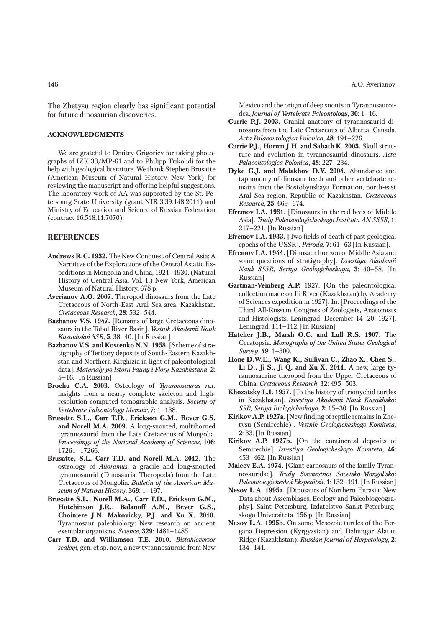The Zhetysu region clearly has significant potential for future dinosaurian discoveries.

## **ACKNOWLEDGMENTS**

We are grateful to Dmitry Grigoriev for taking photographs of IZK 33/MP-61 and to Philipp Trikolidi for the help with geological literature. We thank Stephen Brusatte (American Museum of Natural History, New York) for reviewing the manuscript and offering helpful suggestions. The laboratory work of AA was supported by the St. Petersburg State University (grant NIR 3.39.148.2011) and Ministry of Education and Science of Russian Federation (contract 16.518.11.7070).

#### **REFERENCES**

- **Andrews R.C. 1932.** The New Conquest of Central Asia: A Narrative of the Explorations of the Central Asiatic Expeditions in Mongolia and China, 1921–1930. (Natural History of Central Asia, Vol. 1.) New York, American Museum of Natural History. 678 p.
- **Averianov A.O. 2007.** Theropod dinosaurs from the Late Cretaceous of North-East Aral Sea area, Kazakhstan. *Cretaceous Research*, **28**: 532–544.
- **Bazhanov V.S. 1947.** [Remains of large Cretaceous dinosaurs in the Tobol River Basin]. *Vestnik Akademii Nauk Kazakhskoi SSR*, **5**: 38–40. [In Russian]
- **Bazhanov V.S. and Kostenko N.N. 1958.** [Scheme of stratigraphy of Tertiary deposits of South-Eastern Kazakhstan and Northern Kirghizia in light of paleontological data]. *Materialy po Istorii Fauny i Flory Kazakhstana*, **2**: 5–16. [In Russian]
- **Brochu C.A. 2003.** Osteology of *Tyrannosaurus rex*: insights from a nearly complete skeleton and highresolution computed tomographic analysis. *Society of Vertebrate Paleontology Memoir*, 7: 1–138.
- **Brusatte S.L., Carr T.D., Erickson G.M., Bever G.S. and Norell M.A. 2009.** A long-snouted, multihorned tyrannosaurid from the Late Cretaceous of Mongolia. *Proceedings of the National Academy of Sciences*, **106**: 17261–17266.
- **Brusatte, S.L. Carr T.D. and Norell M.A. 2012.** The osteology of *Alioramus*, a gracile and long-snouted tyrannosaurid (Dinosauria: Theropoda) from the Late Cretaceous of Mongolia. *Bulletin of the American Museum of Natural History*, **369**: 1–197.
- **Brusatte S.L., Norell M.A., Carr T.D., Erickson G.M., Hutchinson J.R., Balanoff A.M., Bever G.S., Choiniere J.N. Makovicky, P.J. and Xu X. 2010.**  Tyrannosaur paleobiology: New research on ancient exemplar organisms. *Science*, **329**: 1481–1485.
- **Carr T.D. and Williamson T.E. 2010.** *Bistahieversor sealeyi*, gen. et sp. nov., a new tyrannosauroid from New

Mexico and the origin of deep snouts in Tyrannosauroidea. *Journal of Vertebrate Paleontology*, **30**: 1–16.

- **Currie P.J. 2003.** Cranial anatomy of tyrannosaurid dinosaurs from the Late Cretaceous of Alberta, Canada. *Acta Palaeontologica Polonica*, **48**: 191–226.
- **Currie P.J., Hurum J.H. and Sabath K. 2003.** Skull structure and evolution in tyrannosaurid dinosaurs. *Acta Palaeontologica Polonica*, **48**: 227–234.
- **Dyke G.J. and Malakhov D.V. 2004.** Abundance and taphonomy of dinosaur teeth and other vertebrate remains from the Bostobynskaya Formation, north-east Aral Sea region, Republic of Kazakhstan. *Cretaceous Research*, **25**: 669–674.
- **Efremov I.A. 1931.** [Dinosaurs in the red beds of Middle Asia]. *Trudy Paleozoologicheskogo Instituta AN SSSR*, **1**: 217–221. [In Russian]
- **Efremov I.A. 1933.** [Two fields of death of past geological epochs of the USSR]. *Priroda*, **7**: 61–63 [In Russian].
- **Efremov I.A. 1944.** [Dinosaur horizon of Middle Asia and some questions of stratigraphy]. *Izvestiya Akademii Nauk SSSR, Seriya Geologicheskaya*, **3**: 40–58. [In Russian]
- **Gartman-Veinberg A.P.** 1927. [On the paleontological collection made on Ili River (Kazakhstan) by Academy of Sciences expedition in 1927]. In: [Proceedings of the Third All-Russian Congress of Zoologists, Anatomists and Histologists. Leningrad, December 14–20, 1927]. Leningrad: 111–112. [In Russian]
- **Hatcher J.B., Marsh O.C. and Lull R.S. 1907.** The Ceratopsia. *Monographs of the United States Geological Survey*, **49**: 1–300.
- **Hone D.W.E., Wang K., Sullivan C., Zhao X., Chen S., Li D., Ji S., Ji Q. and Xu X. 2011.** A new, large tyrannosaurine theropod from the Upper Cretaceous of China. *Cretaceous Research*, **32**: 495–503.
- **Khozatsky L.I. 1957.** [To the history of trionychid turtles in Kazakhstan]. *Izvestiya Akademii Nauk Kazakhskoi SSR, Seriya Biologicheskaya*, **2**: 15–30. [In Russian]
- **Kirikov A.P. 1927a.** [New finding of reptile remains in Zhetysu (Semirechie)]. *Vestnik Geologicheskogo Komiteta*, **2**: 33. [In Russian]
- **Kirikov A.P. 1927b.** [On the continental deposits of Semirechie]. *Izvestiya Geologicheskogo Komiteta*, **46**: 453–462. [In Russian]
- **Maleev E.A. 1974.** [Giant carnosaurs of the family Tyrannosauridae]. *Trudy Sovmestnoi Sovetsko-Mongol'skoi Paleontologicheskoi Ekspeditsii*, **1**: 132–191. [In Russian]
- **Nesov L.A. 1995a.** [Dinosaurs of Northern Eurasia: New Data about Assemblages, Ecology and Paleobiogeography]. Saint Petersburg, Izdatelstvo Sankt-Peterburgskogo Universiteta. 156 p. [In Russian]
- **Nesov L.A. 1995b.** On some Mesozoic turtles of the Fergana Depression (Kyrgyzstan) and Dzhungar Alatau Ridge (Kazakhstan). *Russian Journal of Herpetology*, **2**: 134–141.